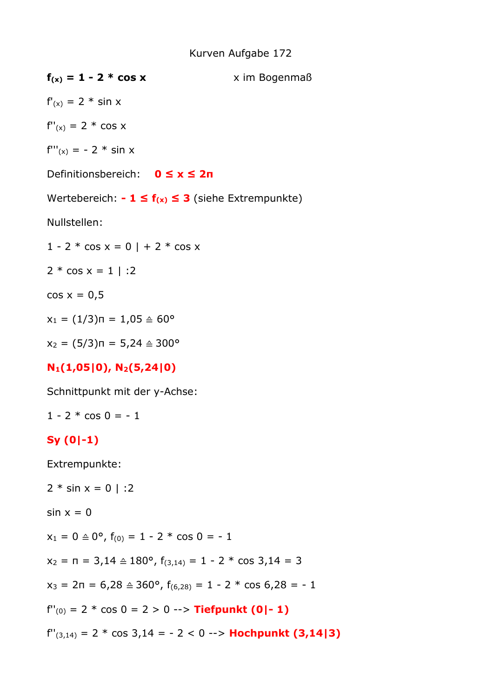## Kurven Aufgabe 172

| $f(x) = 1 - 2 * cos x$                                                              | x im Bogenmaß |
|-------------------------------------------------------------------------------------|---------------|
| $f'(x) = 2 * \sin x$                                                                |               |
| $f''(x) = 2 * cos x$                                                                |               |
| $f'''(x) = -2 * sin x$                                                              |               |
| Definitionsbereich: $0 \le x \le 2n$                                                |               |
| Wertebereich: $-1 \le f(x) \le 3$ (siehe Extrempunkte)                              |               |
| Nullstellen:                                                                        |               |
| $1 - 2 * cos x = 0$   + 2 * cos x                                                   |               |
| $2 * cos x = 1$   :2                                                                |               |
| $cos x = 0.5$                                                                       |               |
| $x_1 = (1/3)\pi = 1.05 \triangleq 60^{\circ}$                                       |               |
| $x_2 = (5/3)\pi = 5,24 \triangleq 300^{\circ}$                                      |               |
| $N_1(1,05 0)$ , $N_2(5,24 0)$                                                       |               |
| Schnittpunkt mit der y-Achse:                                                       |               |
| $1 - 2 * cos 0 = -1$                                                                |               |
| $Sy(0 -1)$                                                                          |               |
| Extrempunkte:                                                                       |               |
| $2 * sin x = 0$   :2                                                                |               |
| $sin x = 0$                                                                         |               |
| $x_1 = 0 \triangleq 0^{\circ}$ , $f_{(0)} = 1 - 2 * \cos 0 = -1$                    |               |
| $x_2 = n = 3,14 \triangleq 180^{\circ}$ , $f_{(3,14)} = 1 - 2$ * cos 3,14 = 3       |               |
| $x_3 = 2\pi = 6{,}28 \triangleq 360^{\circ}, f_{(6,28)} = 1 - 2 * \cos 6{,}28 = -1$ |               |
| $f''(0) = 2 * cos 0 = 2 > 0 \rightarrow$ Tiefpunkt (0 - 1)                          |               |
| $f''(3,14) = 2 * cos 3,14 = -2 < 0 \rightarrow$ Hochpunkt (3,14 3)                  |               |